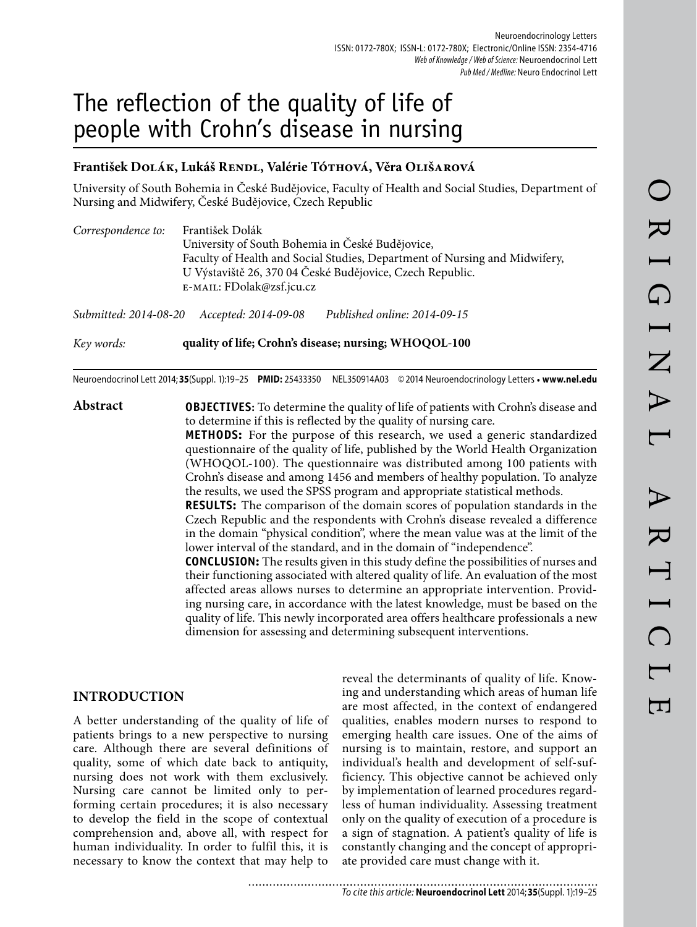# The reflection of the quality of life of people with Crohn's disease in nursing

## **František Dolák, Lukáš Rendl, Valérie Tóthová, Věra Olišarová**

University of South Bohemia in České Budějovice, Faculty of Health and Social Studies, Department of Nursing and Midwifery, České Budějovice, Czech Republic

| Correspondence to: | František Dolák                                                                                                                         |  |  |  |  |  |
|--------------------|-----------------------------------------------------------------------------------------------------------------------------------------|--|--|--|--|--|
|                    | University of South Bohemia in České Budějovice,                                                                                        |  |  |  |  |  |
|                    | Faculty of Health and Social Studies, Department of Nursing and Midwifery,<br>U Výstaviště 26, 370 04 České Budějovice, Czech Republic. |  |  |  |  |  |
|                    | E-MAIL: FDolak@zsf.jcu.cz                                                                                                               |  |  |  |  |  |
|                    | $0.1 \dots 1$ 0014.00.00 $\ldots 1$ 0014.00.00 $\Box$ 11:1 1:1<br>0.0110015                                                             |  |  |  |  |  |

*Submitted: 2014-08-20 Accepted: 2014-09-08 Published online: 2014-09-15*

*Key words:* **quality of life; Crohn's disease; nursing; WHOQOL-100**

Neuroendocrinol Lett 2014; **35**(Suppl. 1):19–25 **PMID:** 25433350 NEL350914A03 © 2014 Neuroendocrinology Letters • **www.nel.edu**

**Abstract OBJECTIVES:** To determine the quality of life of patients with Crohn's disease and to determine if this is reflected by the quality of nursing care.

> **METHODS:** For the purpose of this research, we used a generic standardized questionnaire of the quality of life, published by the World Health Organization (WHOQOL-100). The questionnaire was distributed among 100 patients with Crohn's disease and among 1456 and members of healthy population. To analyze the results, we used the SPSS program and appropriate statistical methods.

> **RESULTS:** The comparison of the domain scores of population standards in the Czech Republic and the respondents with Crohn's disease revealed a difference in the domain "physical condition", where the mean value was at the limit of the lower interval of the standard, and in the domain of "independence".

> **CONCLUSION:** The results given in this study define the possibilities of nurses and their functioning associated with altered quality of life. An evaluation of the most affected areas allows nurses to determine an appropriate intervention. Providing nursing care, in accordance with the latest knowledge, must be based on the quality of life. This newly incorporated area offers healthcare professionals a new dimension for assessing and determining subsequent interventions.

## **INTRODUCTION**

A better understanding of the quality of life of patients brings to a new perspective to nursing care. Although there are several definitions of quality, some of which date back to antiquity, nursing does not work with them exclusively. Nursing care cannot be limited only to performing certain procedures; it is also necessary to develop the field in the scope of contextual comprehension and, above all, with respect for human individuality. In order to fulfil this, it is necessary to know the context that may help to

reveal the determinants of quality of life. Knowing and understanding which areas of human life are most affected, in the context of endangered qualities, enables modern nurses to respond to emerging health care issues. One of the aims of nursing is to maintain, restore, and support an individual's health and development of self-sufficiency. This objective cannot be achieved only by implementation of learned procedures regardless of human individuality. Assessing treatment only on the quality of execution of a procedure is a sign of stagnation. A patient's quality of life is constantly changing and the concept of appropriate provided care must change with it.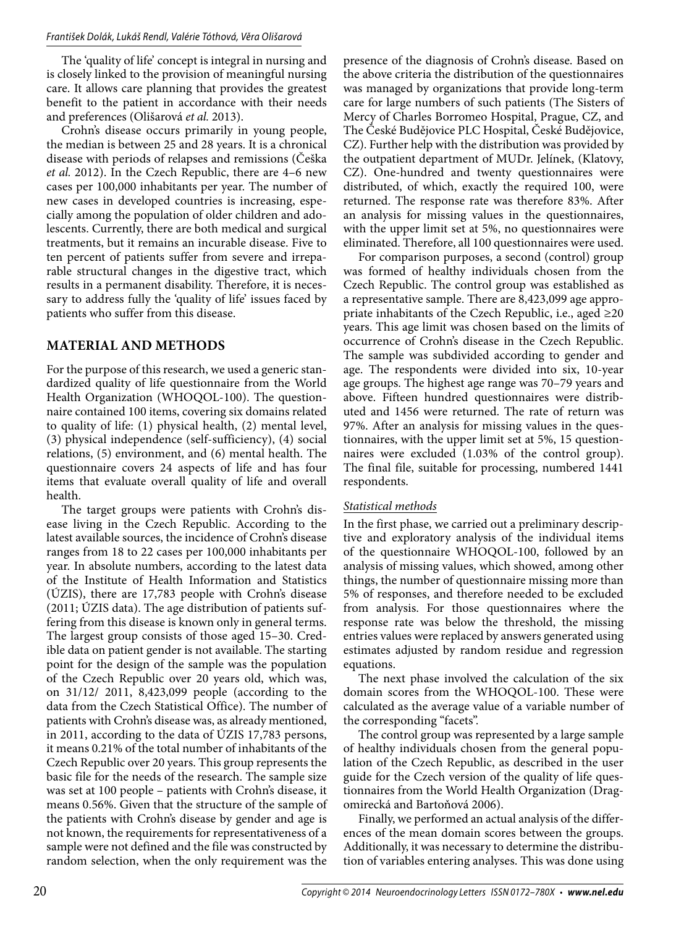The 'quality of life' concept is integral in nursing and is closely linked to the provision of meaningful nursing care. It allows care planning that provides the greatest benefit to the patient in accordance with their needs and preferences (Olišarová *et al.* 2013).

Crohn's disease occurs primarily in young people, the median is between 25 and 28 years. It is a chronical disease with periods of relapses and remissions (Češka *et al.* 2012). In the Czech Republic, there are 4–6 new cases per 100,000 inhabitants per year. The number of new cases in developed countries is increasing, especially among the population of older children and adolescents. Currently, there are both medical and surgical treatments, but it remains an incurable disease. Five to ten percent of patients suffer from severe and irreparable structural changes in the digestive tract, which results in a permanent disability. Therefore, it is necessary to address fully the 'quality of life' issues faced by patients who suffer from this disease.

# **MATERIAL AND METHODS**

For the purpose of this research, we used a generic standardized quality of life questionnaire from the World Health Organization (WHOQOL-100). The questionnaire contained 100 items, covering six domains related to quality of life: (1) physical health, (2) mental level, (3) physical independence (self-sufficiency), (4) social relations, (5) environment, and (6) mental health. The questionnaire covers 24 aspects of life and has four items that evaluate overall quality of life and overall health.

The target groups were patients with Crohn's disease living in the Czech Republic. According to the latest available sources, the incidence of Crohn's disease ranges from 18 to 22 cases per 100,000 inhabitants per year. In absolute numbers, according to the latest data of the Institute of Health Information and Statistics (ÚZIS), there are 17,783 people with Crohn's disease (2011; ÚZIS data). The age distribution of patients suffering from this disease is known only in general terms. The largest group consists of those aged 15–30. Credible data on patient gender is not available. The starting point for the design of the sample was the population of the Czech Republic over 20 years old, which was, on 31/12/ 2011, 8,423,099 people (according to the data from the Czech Statistical Office). The number of patients with Crohn's disease was, as already mentioned, in 2011, according to the data of ÚZIS 17,783 persons, it means 0.21% of the total number of inhabitants of the Czech Republic over 20 years. This group represents the basic file for the needs of the research. The sample size was set at 100 people – patients with Crohn's disease, it means 0.56%. Given that the structure of the sample of the patients with Crohn's disease by gender and age is not known, the requirements for representativeness of a sample were not defined and the file was constructed by random selection, when the only requirement was the

presence of the diagnosis of Crohn's disease. Based on the above criteria the distribution of the questionnaires was managed by organizations that provide long-term care for large numbers of such patients (The Sisters of Mercy of Charles Borromeo Hospital, Prague, CZ, and The České Budějovice PLC Hospital, České Budějovice, CZ). Further help with the distribution was provided by the outpatient department of MUDr. Jelínek, (Klatovy, CZ). One-hundred and twenty questionnaires were distributed, of which, exactly the required 100, were returned. The response rate was therefore 83%. After an analysis for missing values in the questionnaires, with the upper limit set at 5%, no questionnaires were eliminated. Therefore, all 100 questionnaires were used.

For comparison purposes, a second (control) group was formed of healthy individuals chosen from the Czech Republic. The control group was established as a representative sample. There are 8,423,099 age appropriate inhabitants of the Czech Republic, i.e., aged ≥20 years. This age limit was chosen based on the limits of occurrence of Crohn's disease in the Czech Republic. The sample was subdivided according to gender and age. The respondents were divided into six, 10-year age groups. The highest age range was 70–79 years and above. Fifteen hundred questionnaires were distributed and 1456 were returned. The rate of return was 97%. After an analysis for missing values in the questionnaires, with the upper limit set at 5%, 15 questionnaires were excluded (1.03% of the control group). The final file, suitable for processing, numbered 1441 respondents.

## *Statistical methods*

In the first phase, we carried out a preliminary descriptive and exploratory analysis of the individual items of the questionnaire WHOQOL-100, followed by an analysis of missing values, which showed, among other things, the number of questionnaire missing more than 5% of responses, and therefore needed to be excluded from analysis. For those questionnaires where the response rate was below the threshold, the missing entries values were replaced by answers generated using estimates adjusted by random residue and regression equations.

The next phase involved the calculation of the six domain scores from the WHOQOL-100. These were calculated as the average value of a variable number of the corresponding "facets".

The control group was represented by a large sample of healthy individuals chosen from the general population of the Czech Republic, as described in the user guide for the Czech version of the quality of life questionnaires from the World Health Organization (Dragomirecká and Bartoňová 2006).

Finally, we performed an actual analysis of the differences of the mean domain scores between the groups. Additionally, it was necessary to determine the distribution of variables entering analyses. This was done using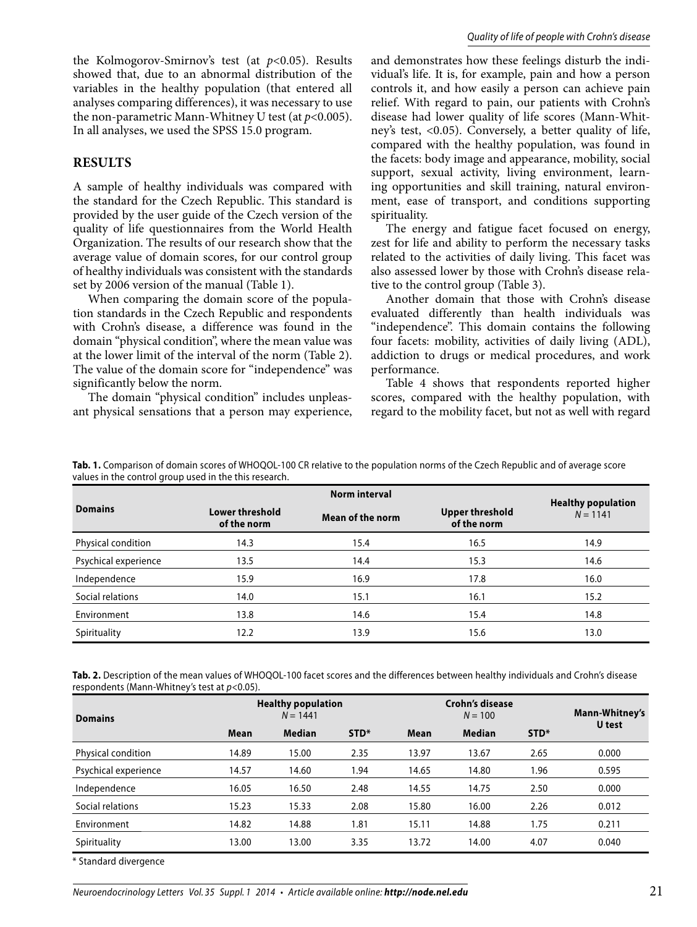#### **RESULTS**

A sample of healthy individuals was compared with the standard for the Czech Republic. This standard is provided by the user guide of the Czech version of the quality of life questionnaires from the World Health Organization. The results of our research show that the average value of domain scores, for our control group of healthy individuals was consistent with the standards set by 2006 version of the manual (Table 1).

When comparing the domain score of the population standards in the Czech Republic and respondents with Crohn's disease, a difference was found in the domain "physical condition", where the mean value was at the lower limit of the interval of the norm (Table 2). The value of the domain score for "independence" was significantly below the norm.

The domain "physical condition" includes unpleasant physical sensations that a person may experience, and demonstrates how these feelings disturb the individual's life. It is, for example, pain and how a person controls it, and how easily a person can achieve pain relief. With regard to pain, our patients with Crohn's disease had lower quality of life scores (Mann-Whitney's test, <0.05). Conversely, a better quality of life, compared with the healthy population, was found in the facets: body image and appearance, mobility, social support, sexual activity, living environment, learning opportunities and skill training, natural environment, ease of transport, and conditions supporting spirituality.

The energy and fatigue facet focused on energy, zest for life and ability to perform the necessary tasks related to the activities of daily living. This facet was also assessed lower by those with Crohn's disease relative to the control group (Table 3).

Another domain that those with Crohn's disease evaluated differently than health individuals was "independence". This domain contains the following four facets: mobility, activities of daily living (ADL), addiction to drugs or medical procedures, and work performance.

Table 4 shows that respondents reported higher scores, compared with the healthy population, with regard to the mobility facet, but not as well with regard

| values in the control group used in the this research. |                                       |                      |                                       |                           |
|--------------------------------------------------------|---------------------------------------|----------------------|---------------------------------------|---------------------------|
|                                                        |                                       | <b>Norm interval</b> |                                       | <b>Healthy population</b> |
| <b>Domains</b>                                         | <b>Lower threshold</b><br>of the norm | Mean of the norm     | <b>Upper threshold</b><br>of the norm | $N = 1141$                |
| Physical condition                                     | 14.3                                  | 15.4                 | 16.5                                  | 14.9                      |
| Psychical experience                                   | 13.5                                  | 14.4                 | 15.3                                  | 14.6                      |
| Independence                                           | 15.9                                  | 16.9                 | 17.8                                  | 16.0                      |
| Social relations                                       | 14.0                                  | 15.1                 | 16.1                                  | 15.2                      |
| Environment                                            | 13.8                                  | 14.6                 | 15.4                                  | 14.8                      |
| Spirituality                                           | 12.2                                  | 13.9                 | 15.6                                  | 13.0                      |

**Tab. 1.** Comparison of domain scores of WHOQOL-100 CR relative to the population norms of the Czech Republic and of average score

**Tab. 2.** Description of the mean values of WHOQOL-100 facet scores and the differences between healthy individuals and Crohn's disease respondents (Mann-Whitney's test at  $p<0.05$ ).

| <b>Domains</b>       |             | <b>Healthy population</b><br>$N = 1441$ |      | <b>Crohn's disease</b><br>$N = 100$ |               |      | Mann-Whitney's<br>U test |
|----------------------|-------------|-----------------------------------------|------|-------------------------------------|---------------|------|--------------------------|
|                      | <b>Mean</b> | <b>Median</b>                           | STD* | Mean                                | <b>Median</b> | STD* |                          |
| Physical condition   | 14.89       | 15.00                                   | 2.35 | 13.97                               | 13.67         | 2.65 | 0.000                    |
| Psychical experience | 14.57       | 14.60                                   | 1.94 | 14.65                               | 14.80         | 1.96 | 0.595                    |
| Independence         | 16.05       | 16.50                                   | 2.48 | 14.55                               | 14.75         | 2.50 | 0.000                    |
| Social relations     | 15.23       | 15.33                                   | 2.08 | 15.80                               | 16.00         | 2.26 | 0.012                    |
| Environment          | 14.82       | 14.88                                   | 1.81 | 15.11                               | 14.88         | 1.75 | 0.211                    |
| Spirituality         | 13.00       | 13.00                                   | 3.35 | 13.72                               | 14.00         | 4.07 | 0.040                    |

\* Standard divergence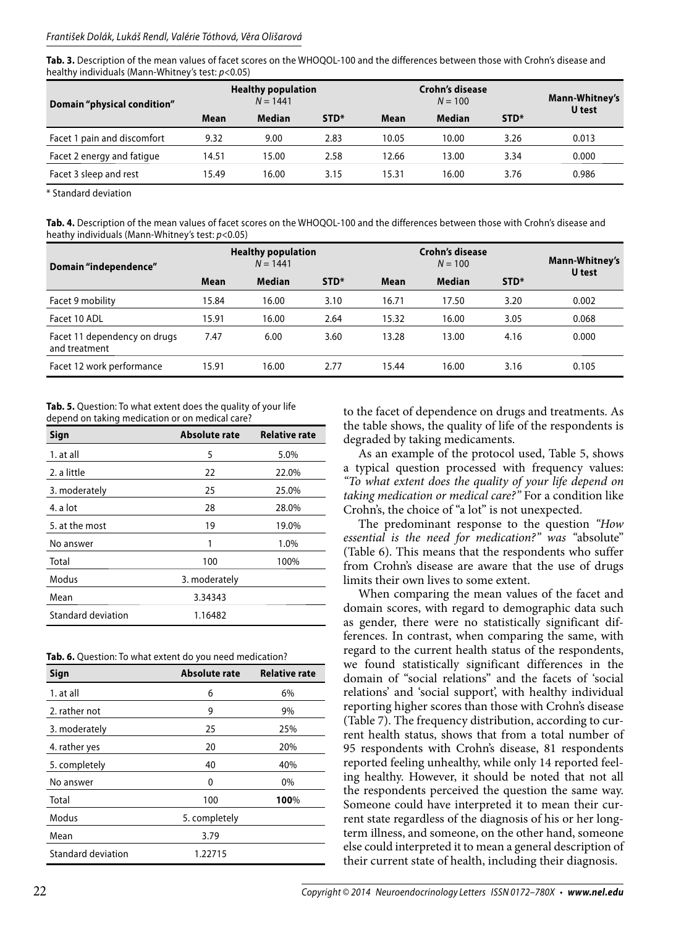**Tab. 3.** Description of the mean values of facet scores on the WHOQOL-100 and the differences between those with Crohn's disease and healthy individuals (Mann-Whitney's test: p<0.05)

| Domain "physical condition" |       | <b>Healthy population</b><br>$N = 1441$ |      | Crohn's disease<br>$N = 100$ |               |                  | Mann-Whitney's<br>U test |  |
|-----------------------------|-------|-----------------------------------------|------|------------------------------|---------------|------------------|--------------------------|--|
|                             | Mean  | <b>Median</b>                           | STD* | Mean                         | <b>Median</b> | STD <sup>*</sup> |                          |  |
| Facet 1 pain and discomfort | 9.32  | 9.00                                    | 2.83 | 10.05                        | 10.00         | 3.26             | 0.013                    |  |
| Facet 2 energy and fatigue  | 14.51 | 15.00                                   | 2.58 | 12.66                        | 13.00         | 3.34             | 0.000                    |  |
| Facet 3 sleep and rest      | 15.49 | 16.00                                   | 3.15 | 15.31                        | 16.00         | 3.76             | 0.986                    |  |

\* Standard deviation

**Tab. 4.** Description of the mean values of facet scores on the WHOQOL-100 and the differences between those with Crohn's disease and heathy individuals (Mann-Whitney's test:  $p$ <0.05)

| Domain "independence"                         | <b>Healthy population</b><br>$N = 1441$ |               |      | Crohn's disease | Mann-Whitney's<br>U test |      |       |
|-----------------------------------------------|-----------------------------------------|---------------|------|-----------------|--------------------------|------|-------|
|                                               | Mean                                    | <b>Median</b> | STD* | Mean            | <b>Median</b>            | STD* |       |
| Facet 9 mobility                              | 15.84                                   | 16.00         | 3.10 | 16.71           | 17.50                    | 3.20 | 0.002 |
| Facet 10 ADL                                  | 15.91                                   | 16.00         | 2.64 | 15.32           | 16.00                    | 3.05 | 0.068 |
| Facet 11 dependency on drugs<br>and treatment | 7.47                                    | 6.00          | 3.60 | 13.28           | 13.00                    | 4.16 | 0.000 |
| Facet 12 work performance                     | 15.91                                   | 16.00         | 2.77 | 15.44           | 16.00                    | 3.16 | 0.105 |

**Tab. 5.** Question: To what extent does the quality of your life depend on taking medication or on medical care?

| Sign               | Absolute rate | <b>Relative rate</b> |
|--------------------|---------------|----------------------|
| 1. at all          | 5             | 5.0%                 |
| 2. a little        | 22            | 22.0%                |
| 3. moderately      | 25            | 25.0%                |
| 4. a lot           | 28            | 28.0%                |
| 5. at the most     | 19            | 19.0%                |
| No answer          | 1             | 1.0%                 |
| Total              | 100           | 100%                 |
| Modus              | 3. moderately |                      |
| Mean               | 3.34343       |                      |
| Standard deviation | 1.16482       |                      |

| Sign                      | <b>Absolute rate</b> | <b>Relative rate</b> |
|---------------------------|----------------------|----------------------|
| 1. at all                 | 6                    | 6%                   |
| 2. rather not             | 9                    | 9%                   |
| 3. moderately             | 25                   | 25%                  |
| 4. rather yes             | 20                   | 20%                  |
| 5. completely             | 40                   | 40%                  |
| No answer                 | 0                    | 0%                   |
| Total                     | 100                  | 100%                 |
| Modus                     | 5. completely        |                      |
| Mean                      | 3.79                 |                      |
| <b>Standard deviation</b> | 1.22715              |                      |

to the facet of dependence on drugs and treatments. As the table shows, the quality of life of the respondents is degraded by taking medicaments.

As an example of the protocol used, Table 5, shows a typical question processed with frequency values: *"To what extent does the quality of your life depend on taking medication or medical care?"* For a condition like Crohn's, the choice of "a lot" is not unexpected.

The predominant response to the question *"How essential is the need for medication?" was "*absolute" (Table 6). This means that the respondents who suffer from Crohn's disease are aware that the use of drugs limits their own lives to some extent.

When comparing the mean values of the facet and domain scores, with regard to demographic data such as gender, there were no statistically significant differences. In contrast, when comparing the same, with regard to the current health status of the respondents, we found statistically significant differences in the domain of "social relations" and the facets of 'social relations' and 'social support', with healthy individual reporting higher scores than those with Crohn's disease (Table 7). The frequency distribution, according to current health status, shows that from a total number of 95 respondents with Crohn's disease, 81 respondents reported feeling unhealthy, while only 14 reported feeling healthy. However, it should be noted that not all the respondents perceived the question the same way. Someone could have interpreted it to mean their current state regardless of the diagnosis of his or her longterm illness, and someone, on the other hand, someone else could interpreted it to mean a general description of their current state of health, including their diagnosis.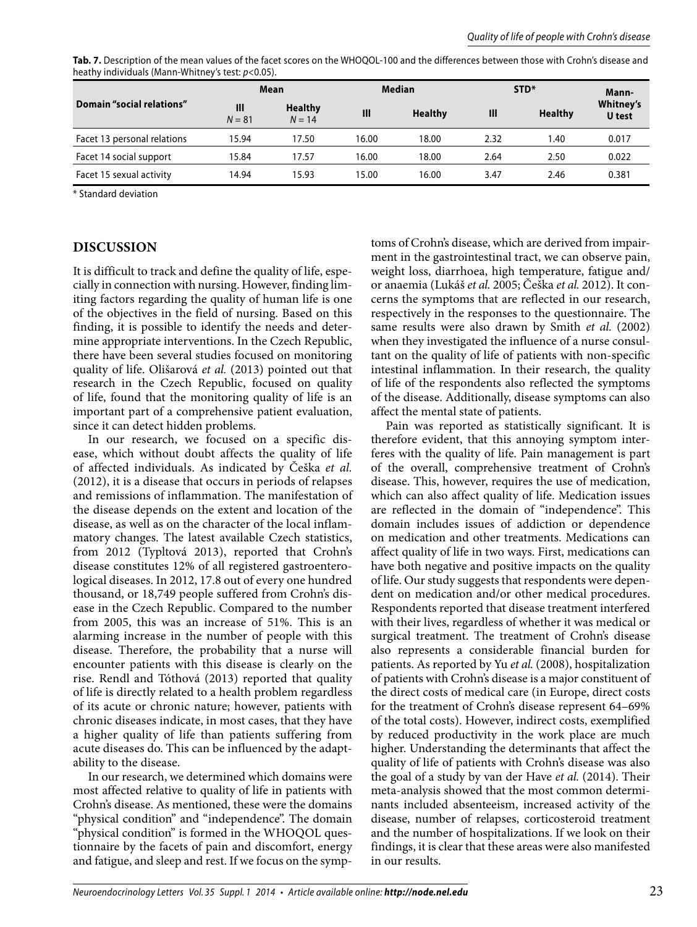| $\frac{1}{2}$               |                            |                            |       |                |       |                |                     |
|-----------------------------|----------------------------|----------------------------|-------|----------------|-------|----------------|---------------------|
|                             | <b>Median</b><br>Mean      |                            | STD*  |                | Mann- |                |                     |
| Domain "social relations"   | $\mathbf{III}$<br>$N = 81$ | <b>Healthy</b><br>$N = 14$ | III   | <b>Healthy</b> | Ш     | <b>Healthy</b> | Whitney's<br>U test |
| Facet 13 personal relations | 15.94                      | 17.50                      | 16.00 | 18.00          | 2.32  | 1.40           | 0.017               |
| Facet 14 social support     | 15.84                      | 17.57                      | 16.00 | 18.00          | 2.64  | 2.50           | 0.022               |
| Facet 15 sexual activity    | 14.94                      | 15.93                      | 15.00 | 16.00          | 3.47  | 2.46           | 0.381               |

**Tab. 7.** Description of the mean values of the facet scores on the WHOQOL-100 and the differences between those with Crohn's disease and heathy individuals (Mann-Whitney's test: p<0.05).

\* Standard deviation

#### **DISCUSSION**

It is difficult to track and define the quality of life, especially in connection with nursing. However, finding limiting factors regarding the quality of human life is one of the objectives in the field of nursing. Based on this finding, it is possible to identify the needs and determine appropriate interventions. In the Czech Republic, there have been several studies focused on monitoring quality of life. Olišarová *et al.* (2013) pointed out that research in the Czech Republic, focused on quality of life, found that the monitoring quality of life is an important part of a comprehensive patient evaluation, since it can detect hidden problems.

In our research, we focused on a specific disease, which without doubt affects the quality of life of affected individuals. As indicated by Češka *et al.*  (2012), it is a disease that occurs in periods of relapses and remissions of inflammation. The manifestation of the disease depends on the extent and location of the disease, as well as on the character of the local inflammatory changes. The latest available Czech statistics, from 2012 (Typltová 2013), reported that Crohn's disease constitutes 12% of all registered gastroenterological diseases. In 2012, 17.8 out of every one hundred thousand, or 18,749 people suffered from Crohn's disease in the Czech Republic. Compared to the number from 2005, this was an increase of 51%. This is an alarming increase in the number of people with this disease. Therefore, the probability that a nurse will encounter patients with this disease is clearly on the rise. Rendl and Tóthová (2013) reported that quality of life is directly related to a health problem regardless of its acute or chronic nature; however, patients with chronic diseases indicate, in most cases, that they have a higher quality of life than patients suffering from acute diseases do. This can be influenced by the adaptability to the disease.

In our research, we determined which domains were most affected relative to quality of life in patients with Crohn's disease. As mentioned, these were the domains "physical condition" and "independence". The domain "physical condition" is formed in the WHOQOL questionnaire by the facets of pain and discomfort, energy and fatigue, and sleep and rest. If we focus on the symptoms of Crohn's disease, which are derived from impairment in the gastrointestinal tract, we can observe pain, weight loss, diarrhoea, high temperature, fatigue and/ or anaemia (Lukáš *et al.* 2005; Češka *et al.* 2012). It concerns the symptoms that are reflected in our research, respectively in the responses to the questionnaire. The same results were also drawn by Smith *et al.* (2002) when they investigated the influence of a nurse consultant on the quality of life of patients with non-specific intestinal inflammation. In their research, the quality of life of the respondents also reflected the symptoms of the disease. Additionally, disease symptoms can also affect the mental state of patients.

Pain was reported as statistically significant. It is therefore evident, that this annoying symptom interferes with the quality of life. Pain management is part of the overall, comprehensive treatment of Crohn's disease. This, however, requires the use of medication, which can also affect quality of life. Medication issues are reflected in the domain of "independence". This domain includes issues of addiction or dependence on medication and other treatments. Medications can affect quality of life in two ways. First, medications can have both negative and positive impacts on the quality of life. Our study suggests that respondents were dependent on medication and/or other medical procedures. Respondents reported that disease treatment interfered with their lives, regardless of whether it was medical or surgical treatment. The treatment of Crohn's disease also represents a considerable financial burden for patients. As reported by Yu *et al.* (2008), hospitalization of patients with Crohn's disease is a major constituent of the direct costs of medical care (in Europe, direct costs for the treatment of Crohn's disease represent 64–69% of the total costs). However, indirect costs, exemplified by reduced productivity in the work place are much higher. Understanding the determinants that affect the quality of life of patients with Crohn's disease was also the goal of a study by van der Have *et al.* (2014). Their meta-analysis showed that the most common determinants included absenteeism, increased activity of the disease, number of relapses, corticosteroid treatment and the number of hospitalizations. If we look on their findings, it is clear that these areas were also manifested in our results.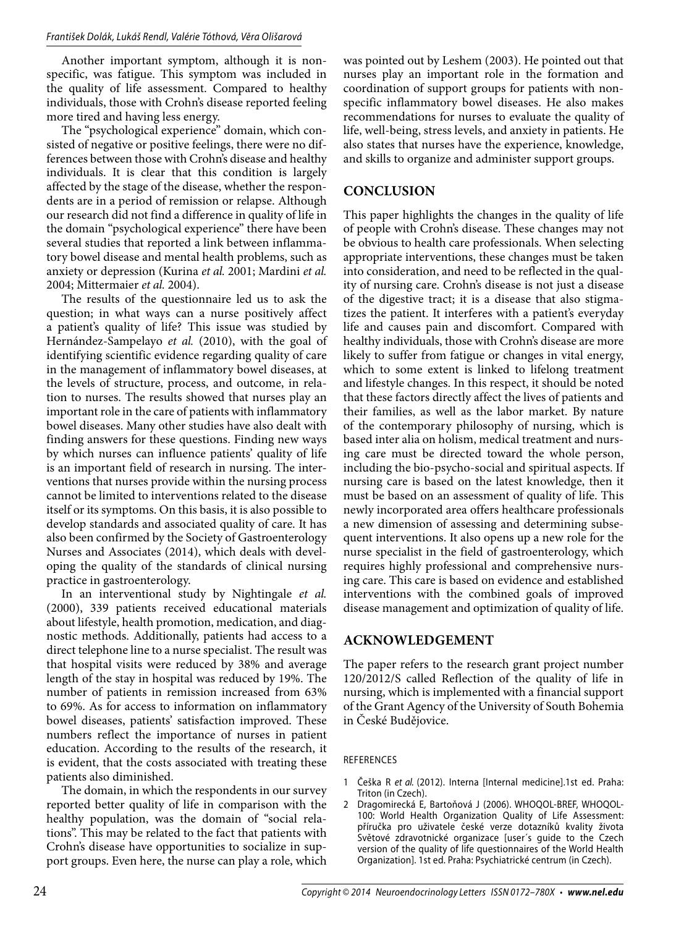Another important symptom, although it is nonspecific, was fatigue. This symptom was included in the quality of life assessment. Compared to healthy individuals, those with Crohn's disease reported feeling more tired and having less energy.

The "psychological experience" domain, which consisted of negative or positive feelings, there were no differences between those with Crohn's disease and healthy individuals. It is clear that this condition is largely affected by the stage of the disease, whether the respondents are in a period of remission or relapse. Although our research did not find a difference in quality of life in the domain "psychological experience" there have been several studies that reported a link between inflammatory bowel disease and mental health problems, such as anxiety or depression (Kurina *et al.* 2001; Mardini *et al.*  2004; Mittermaier *et al.* 2004).

The results of the questionnaire led us to ask the question; in what ways can a nurse positively affect a patient's quality of life? This issue was studied by Hernández-Sampelayo *et al.* (2010), with the goal of identifying scientific evidence regarding quality of care in the management of inflammatory bowel diseases, at the levels of structure, process, and outcome, in relation to nurses. The results showed that nurses play an important role in the care of patients with inflammatory bowel diseases. Many other studies have also dealt with finding answers for these questions. Finding new ways by which nurses can influence patients' quality of life is an important field of research in nursing. The interventions that nurses provide within the nursing process cannot be limited to interventions related to the disease itself or its symptoms. On this basis, it is also possible to develop standards and associated quality of care. It has also been confirmed by the Society of Gastroenterology Nurses and Associates (2014), which deals with developing the quality of the standards of clinical nursing practice in gastroenterology.

In an interventional study by Nightingale *et al.*  (2000), 339 patients received educational materials about lifestyle, health promotion, medication, and diagnostic methods. Additionally, patients had access to a direct telephone line to a nurse specialist. The result was that hospital visits were reduced by 38% and average length of the stay in hospital was reduced by 19%. The number of patients in remission increased from 63% to 69%. As for access to information on inflammatory bowel diseases, patients' satisfaction improved. These numbers reflect the importance of nurses in patient education. According to the results of the research, it is evident, that the costs associated with treating these patients also diminished.

The domain, in which the respondents in our survey reported better quality of life in comparison with the healthy population, was the domain of "social relations". This may be related to the fact that patients with Crohn's disease have opportunities to socialize in support groups. Even here, the nurse can play a role, which

was pointed out by Leshem (2003). He pointed out that nurses play an important role in the formation and coordination of support groups for patients with nonspecific inflammatory bowel diseases. He also makes recommendations for nurses to evaluate the quality of life, well-being, stress levels, and anxiety in patients. He also states that nurses have the experience, knowledge, and skills to organize and administer support groups.

# **CONCLUSION**

This paper highlights the changes in the quality of life of people with Crohn's disease. These changes may not be obvious to health care professionals. When selecting appropriate interventions, these changes must be taken into consideration, and need to be reflected in the quality of nursing care. Crohn's disease is not just a disease of the digestive tract; it is a disease that also stigmatizes the patient. It interferes with a patient's everyday life and causes pain and discomfort. Compared with healthy individuals, those with Crohn's disease are more likely to suffer from fatigue or changes in vital energy, which to some extent is linked to lifelong treatment and lifestyle changes. In this respect, it should be noted that these factors directly affect the lives of patients and their families, as well as the labor market. By nature of the contemporary philosophy of nursing, which is based inter alia on holism, medical treatment and nursing care must be directed toward the whole person, including the bio-psycho-social and spiritual aspects. If nursing care is based on the latest knowledge, then it must be based on an assessment of quality of life. This newly incorporated area offers healthcare professionals a new dimension of assessing and determining subsequent interventions. It also opens up a new role for the nurse specialist in the field of gastroenterology, which requires highly professional and comprehensive nursing care. This care is based on evidence and established interventions with the combined goals of improved disease management and optimization of quality of life.

# **ACKNOWLEDGEMENT**

The paper refers to the research grant project number 120/2012/S called Reflection of the quality of life in nursing, which is implemented with a financial support of the Grant Agency of the University of South Bohemia in České Budějovice.

## REFERENCES

- 1 Češka R et al. (2012). Interna [Internal medicine].1st ed. Praha: Triton (in Czech).
- 2 Dragomirecká E, Bartoňová J (2006). WHOQOL-BREF, WHOQOL-100: World Health Organization Quality of Life Assessment: příručka pro uživatele české verze dotazníků kvality života Světové zdravotnické organizace [user´s guide to the Czech version of the quality of life questionnaires of the World Health Organization]. 1st ed. Praha: Psychiatrické centrum (in Czech).